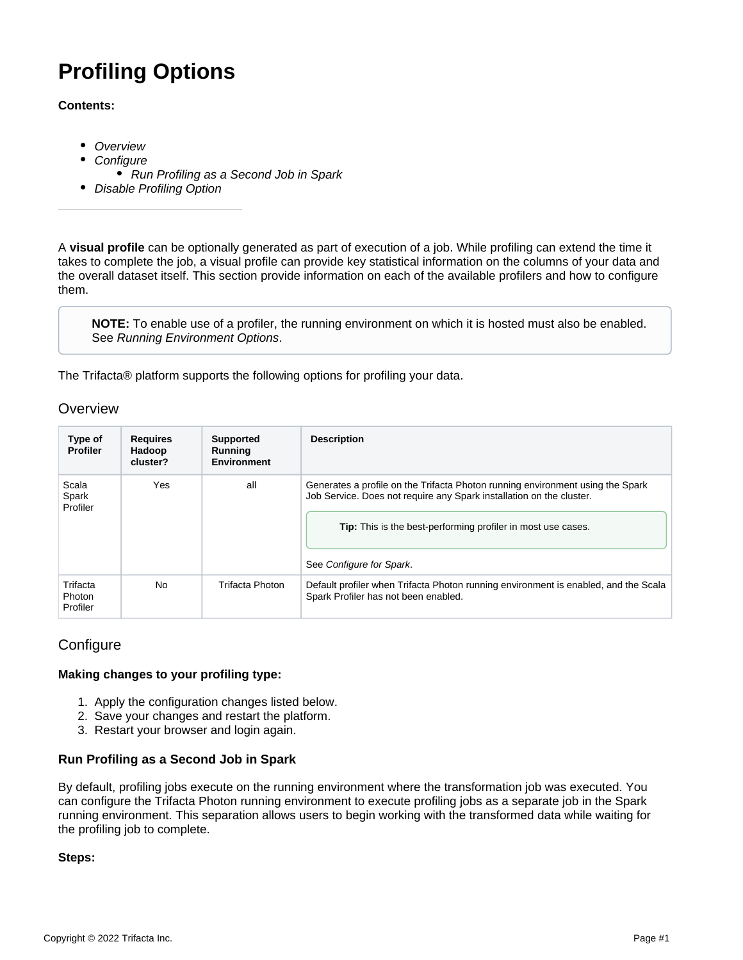# **Profiling Options**

#### **Contents:**

- [Overview](#page-0-0)
- **[Configure](#page-0-1)**
- [Run Profiling as a Second Job in Spark](#page-0-2)
- [Disable Profiling Option](#page-1-0)

A **visual profile** can be optionally generated as part of execution of a job. While profiling can extend the time it takes to complete the job, a visual profile can provide key statistical information on the columns of your data and the overall dataset itself. This section provide information on each of the available profilers and how to configure them.

**NOTE:** To enable use of a profiler, the running environment on which it is hosted must also be enabled. See [Running Environment Options](https://docs.trifacta.com/display/r082/Running+Environment+Options).

The Trifacta® platform supports the following options for profiling your data.

### <span id="page-0-0"></span>**Overview**

| Type of<br><b>Profiler</b>            | <b>Requires</b><br>Hadoop<br>cluster? | <b>Supported</b><br>Running<br><b>Environment</b> | <b>Description</b>                                                                                                                                                                                                                                        |
|---------------------------------------|---------------------------------------|---------------------------------------------------|-----------------------------------------------------------------------------------------------------------------------------------------------------------------------------------------------------------------------------------------------------------|
| Scala<br>Spark<br>Profiler            | Yes                                   | all                                               | Generates a profile on the Trifacta Photon running environment using the Spark<br>Job Service. Does not require any Spark installation on the cluster.<br><b>Tip:</b> This is the best-performing profiler in most use cases.<br>See Configure for Spark. |
| Trifacta<br><b>Photon</b><br>Profiler | <b>No</b>                             | Trifacta Photon                                   | Default profiler when Trifacta Photon running environment is enabled, and the Scala<br>Spark Profiler has not been enabled.                                                                                                                               |

## <span id="page-0-1"></span>**Configure**

#### **Making changes to your profiling type:**

- 1. Apply the configuration changes listed below.
- 2. Save your changes and restart the platform.
- 3. Restart your browser and login again.

#### <span id="page-0-2"></span>**Run Profiling as a Second Job in Spark**

By default, profiling jobs execute on the running environment where the transformation job was executed. You can configure the Trifacta Photon running environment to execute profiling jobs as a separate job in the Spark running environment. This separation allows users to begin working with the transformed data while waiting for the profiling job to complete.

#### **Steps:**